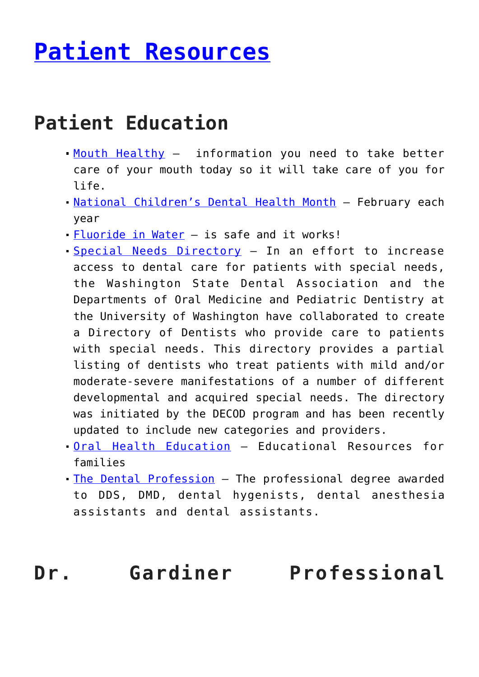# **[Patient Resources](http://anthonygardinerdds.com/patient-resources/)**

### **Patient Education**

- [Mouth Healthy](http://www.ada.org/en/public-programs/mouthhealthy) information you need to take better care of your mouth today so it will take care of you for life.
- [National Children's Dental Health Month](http://www.ada.org/en/public-programs/national-childrens-dental-health-month) February each year
- **[Fluoride in Water](http://www.ada.org/en/public-programs/advocating-for-the-public/fluoride-and-fluoridation)** is safe and it works!
- [Special Needs Directory](https://dental.washington.edu/departments/oral-medicine/special-needs-fact-sheets.html/) In an effort to increase access to dental care for patients with special needs, the Washington State Dental Association and the Departments of Oral Medicine and Pediatric Dentistry at the University of Washington have collaborated to create a Directory of Dentists who provide care to patients with special needs. This directory provides a partial listing of dentists who treat patients with mild and/or moderate-severe manifestations of a number of different developmental and acquired special needs. The directory was initiated by the DECOD program and has been recently updated to include new categories and providers.
- [Oral Health Education](http://www.wsda.org/oral-health-education/) Educational Resources for families
- . [The Dental Profession](http://www.wsda.org/public/the-dental-profession/) The professional degree awarded to DDS, DMD, dental hygenists, dental anesthesia assistants and dental assistants.

#### **Dr. Gardiner Professional**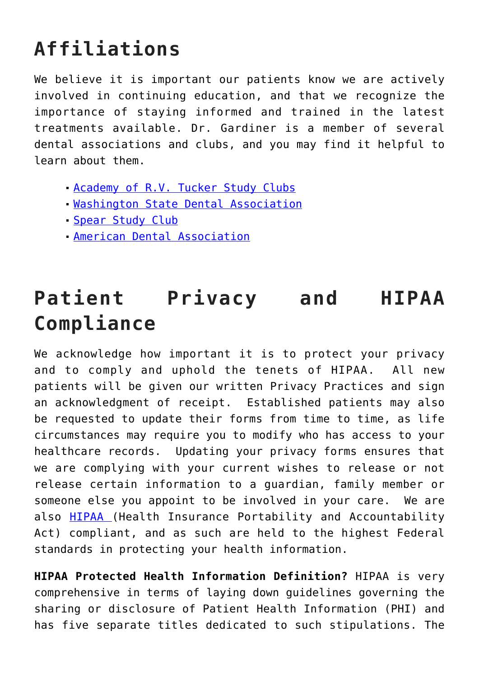## **Affiliations**

We believe it is important our patients know we are actively involved in continuing education, and that we recognize the importance of staying informed and trained in the latest treatments available. Dr. Gardiner is a member of several dental associations and clubs, and you may find it helpful to learn about them.

- [Academy of R.V. Tucker Study Clubs](http://arvtsc.org/)
- [Washington State Dental Association](http://www.wsda.org/about/overview/who-we-are)
- [Spear Study Club](https://www.speareducation.com/study-club)
- [American Dental Association](http://www.ada.org/en/about-the-ada)

## **Patient Privacy and HIPAA Compliance**

We acknowledge how important it is to protect your privacy and to comply and uphold the tenets of HIPAA. All new patients will be given our written Privacy Practices and sign an acknowledgment of receipt. Established patients may also be requested to update their forms from time to time, as life circumstances may require you to modify who has access to your healthcare records. Updating your privacy forms ensures that we are complying with your current wishes to release or not release certain information to a guardian, family member or someone else you appoint to be involved in your care. We are also [HIPAA](https://www.hhs.gov/hipaa/for-individuals/index.html) (Health Insurance Portability and Accountability Act) compliant, and as such are held to the highest Federal standards in protecting your health information.

**HIPAA Protected Health Information Definition?** HIPAA is very comprehensive in terms of laying down guidelines governing the sharing or disclosure of Patient Health Information (PHI) and has five separate titles dedicated to such stipulations. The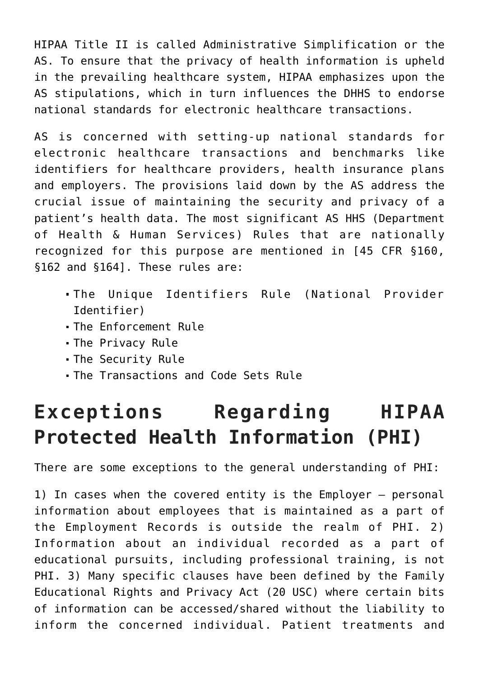HIPAA Title II is called Administrative Simplification or the AS. To ensure that the privacy of health information is upheld in the prevailing healthcare system, HIPAA emphasizes upon the AS stipulations, which in turn influences the DHHS to endorse national standards for electronic healthcare transactions.

AS is concerned with setting-up national standards for electronic healthcare transactions and benchmarks like identifiers for healthcare providers, health insurance plans and employers. The provisions laid down by the AS address the crucial issue of maintaining the security and privacy of a patient's health data. The most significant AS HHS (Department of Health & Human Services) Rules that are nationally recognized for this purpose are mentioned in [45 CFR §160, §162 and §164]. These rules are:

- The Unique Identifiers Rule (National Provider Identifier)
- The Enforcement Rule
- The Privacy Rule
- The Security Rule
- The Transactions and Code Sets Rule

#### **Exceptions Regarding HIPAA Protected Health Information (PHI)**

There are some exceptions to the general understanding of PHI:

1) In cases when the covered entity is the Employer — personal information about employees that is maintained as a part of the Employment Records is outside the realm of PHI. 2) Information about an individual recorded as a part of educational pursuits, including professional training, is not PHI. 3) Many specific clauses have been defined by the Family Educational Rights and Privacy Act (20 USC) where certain bits of information can be accessed/shared without the liability to inform the concerned individual. Patient treatments and